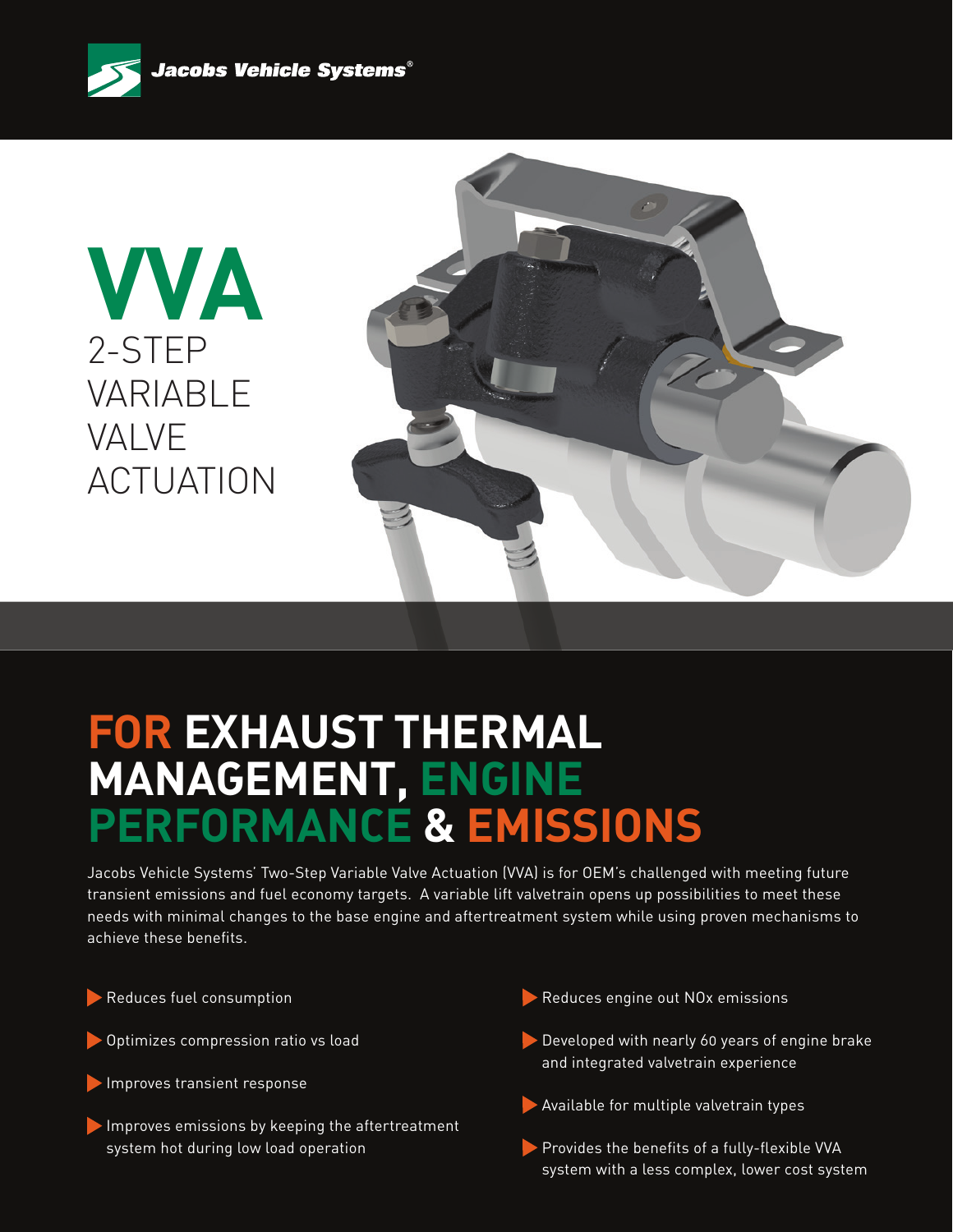

**VVA** 2-STEP VARIABLE VALVE ACTUATION



# **FOR EXHAUST THERMAL MANAGEMENT, ENGINE PERFORMANCE & EMISSIONS**

Jacobs Vehicle Systems' Two-Step Variable Valve Actuation (VVA) is for OEM's challenged with meeting future transient emissions and fuel economy targets. A variable lift valvetrain opens up possibilities to meet these needs with minimal changes to the base engine and aftertreatment system while using proven mechanisms to achieve these benefits.

Reduces fuel consumption

- Optimizes compression ratio vs load
- Improves transient response
- Improves emissions by keeping the aftertreatment system hot during low load operation
- Reduces engine out NO<sub>x</sub> emissions
- Developed with nearly 60 years of engine brake and integrated valvetrain experience
- Available for multiple valvetrain types
- Provides the benefits of a fully-flexible VVA system with a less complex, lower cost system